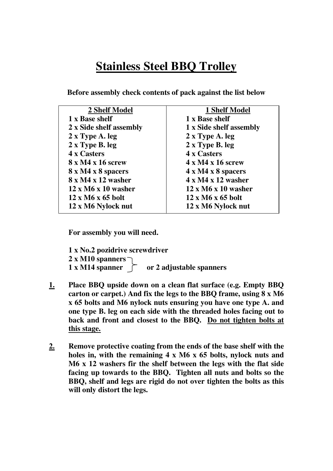## **Stainless Steel BBQ Trolley**

| 2 Shelf Model                   | <b>1 Shelf Model</b>            |
|---------------------------------|---------------------------------|
| 1 x Base shelf                  | 1 x Base shelf                  |
| 2 x Side shelf assembly         | 1 x Side shelf assembly         |
| 2 x Type A. leg                 | 2 x Type A. leg                 |
| 2 x Type B. leg                 | 2 x Type B. leg                 |
| 4 x Casters                     | 4 x Casters                     |
| 8 x M4 x 16 screw               | $4 \times M4 \times 16$ screw   |
| 8 x M4 x 8 spacers              | $4 \times M4 \times 8$ spacers  |
| $8 \times M4 \times 12$ washer  | $4 \times M4 \times 12$ washer  |
| $12 \times M6 \times 10$ washer | $12 \times M6 \times 10$ washer |
| $12 \times M6 \times 65$ bolt   | $12 \times M6 \times 65$ bolt   |
| 12 x M6 Nylock nut              | 12 x M6 Nylock nut              |
|                                 |                                 |

**Before assembly check contents of pack against the list below**

**For assembly you will need.**

**1 x No.2 pozidrive screwdriver 2 x M10 spanners 1 x M14 spanner or 2 adjustable spanners**

- **1. Place BBQ upside down on a clean flat surface (e.g. Empty BBQ carton or carpet.) And fix the legs to the BBQ frame, using 8 x M6 x 65 bolts and M6 nylock nuts ensuring you have one type A. and one type B. leg on each side with the threaded holes facing out to back and front and closest to the BBQ. Do not tighten bolts at this stage.**
- **2. Remove protective coating from the ends of the base shelf with the holes in, with the remaining 4 x M6 x 65 bolts, nylock nuts and M6 x 12 washers fir the shelf between the legs with the flat side facing up towards to the BBQ. Tighten all nuts and bolts so the BBQ, shelf and legs are rigid do not over tighten the bolts as this will only distort the legs.**